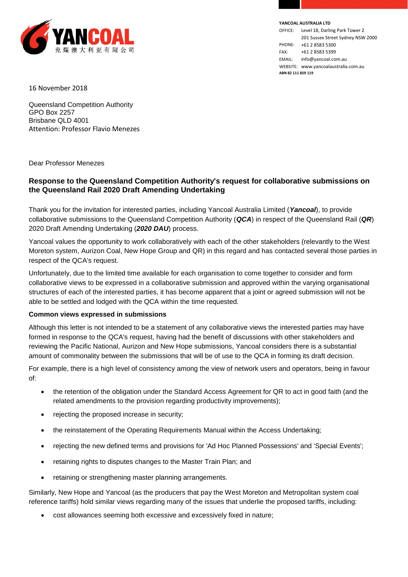

**YANCOAL AUSTRALIA LTD**

OFFICE: Level 18, Darling Park Tower 2 201 Sussex Street Sydney NSW 2000 PHONE: +61 2 8583 5300 FAX: +61 2 8583 5399 EMAIL: info@yancoal.com.au WEBSITE: www.yancoalaustralia.com.au **ABN 82 111 859 119**

16 November 2018

Queensland Competition Authority GPO Box 2257 Brisbane QLD 4001 Attention: Professor Flavio Menezes

Dear Professor Menezes

## **Response to the Queensland Competition Authority's request for collaborative submissions on the Queensland Rail 2020 Draft Amending Undertaking**

Thank you for the invitation for interested parties, including Yancoal Australia Limited (*Yancoal*), to provide collaborative submissions to the Queensland Competition Authority (*QCA*) in respect of the Queensland Rail (*QR*) 2020 Draft Amending Undertaking (*2020 DAU*) process.

Yancoal values the opportunity to work collaboratively with each of the other stakeholders (relevantly to the West Moreton system, Aurizon Coal, New Hope Group and QR) in this regard and has contacted several those parties in respect of the QCA's request.

Unfortunately, due to the limited time available for each organisation to come together to consider and form collaborative views to be expressed in a collaborative submission and approved within the varying organisational structures of each of the interested parties, it has become apparent that a joint or agreed submission will not be able to be settled and lodged with the QCA within the time requested.

## **Common views expressed in submissions**

Although this letter is not intended to be a statement of any collaborative views the interested parties may have formed in response to the QCA's request, having had the benefit of discussions with other stakeholders and reviewing the Pacific National, Aurizon and New Hope submissions, Yancoal considers there is a substantial amount of commonality between the submissions that will be of use to the QCA in forming its draft decision.

For example, there is a high level of consistency among the view of network users and operators, being in favour of:

- the retention of the obligation under the Standard Access Agreement for QR to act in good faith (and the related amendments to the provision regarding productivity improvements);
- rejecting the proposed increase in security;
- the reinstatement of the Operating Requirements Manual within the Access Undertaking;
- rejecting the new defined terms and provisions for 'Ad Hoc Planned Possessions' and 'Special Events';
- retaining rights to disputes changes to the Master Train Plan; and
- retaining or strengthening master planning arrangements.

Similarly, New Hope and Yancoal (as the producers that pay the West Moreton and Metropolitan system coal reference tariffs) hold similar views regarding many of the issues that underlie the proposed tariffs, including:

cost allowances seeming both excessive and excessively fixed in nature;